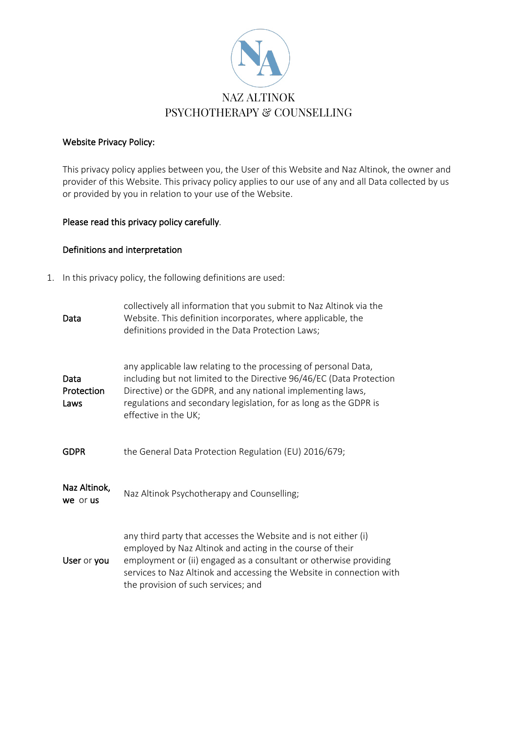

### Website Privacy Policy:

This privacy policy applies between you, the User of this Website and Naz Altinok, the owner and provider of this Website. This privacy policy applies to our use of any and all Data collected by us or provided by you in relation to your use of the Website.

# Please read this privacy policy carefully.

### Definitions and interpretation

1. In this privacy policy, the following definitions are used:

| Data                       | collectively all information that you submit to Naz Altinok via the<br>Website. This definition incorporates, where applicable, the<br>definitions provided in the Data Protection Laws;                                                                                                                         |
|----------------------------|------------------------------------------------------------------------------------------------------------------------------------------------------------------------------------------------------------------------------------------------------------------------------------------------------------------|
| Data<br>Protection<br>Laws | any applicable law relating to the processing of personal Data,<br>including but not limited to the Directive 96/46/EC (Data Protection<br>Directive) or the GDPR, and any national implementing laws,<br>regulations and secondary legislation, for as long as the GDPR is<br>effective in the UK;              |
| <b>GDPR</b>                | the General Data Protection Regulation (EU) 2016/679;                                                                                                                                                                                                                                                            |
| Naz Altinok,<br>we or us   | Naz Altinok Psychotherapy and Counselling;                                                                                                                                                                                                                                                                       |
| User or you                | any third party that accesses the Website and is not either (i)<br>employed by Naz Altinok and acting in the course of their<br>employment or (ii) engaged as a consultant or otherwise providing<br>services to Naz Altinok and accessing the Website in connection with<br>the provision of such services; and |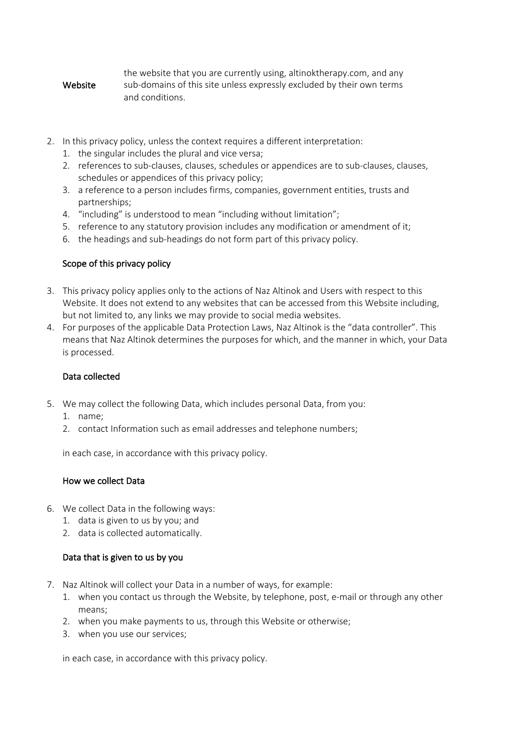#### Website the website that you are currently using, altinoktherapy.com, and any sub-domains of this site unless expressly excluded by their own terms and conditions.

- 2. In this privacy policy, unless the context requires a different interpretation:
	- 1. the singular includes the plural and vice versa;
	- 2. references to sub-clauses, clauses, schedules or appendices are to sub-clauses, clauses, schedules or appendices of this privacy policy;
	- 3. a reference to a person includes firms, companies, government entities, trusts and partnerships;
	- 4. "including" is understood to mean "including without limitation";
	- 5. reference to any statutory provision includes any modification or amendment of it;
	- 6. the headings and sub-headings do not form part of this privacy policy.

# Scope of this privacy policy

- 3. This privacy policy applies only to the actions of Naz Altinok and Users with respect to this Website. It does not extend to any websites that can be accessed from this Website including, but not limited to, any links we may provide to social media websites.
- 4. For purposes of the applicable Data Protection Laws, Naz Altinok is the "data controller". This means that Naz Altinok determines the purposes for which, and the manner in which, your Data is processed.

#### Data collected

- 5. We may collect the following Data, which includes personal Data, from you:
	- 1. name;
	- 2. contact Information such as email addresses and telephone numbers;

in each case, in accordance with this privacy policy.

#### How we collect Data

- 6. We collect Data in the following ways:
	- 1. data is given to us by you; and
	- 2. data is collected automatically.

#### Data that is given to us by you

- 7. Naz Altinok will collect your Data in a number of ways, for example:
	- 1. when you contact us through the Website, by telephone, post, e-mail or through any other means;
	- 2. when you make payments to us, through this Website or otherwise;
	- 3. when you use our services;

in each case, in accordance with this privacy policy.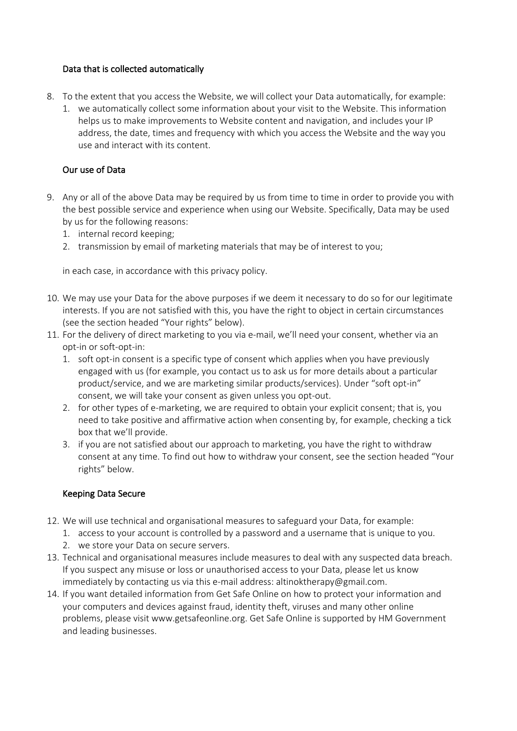# Data that is collected automatically

- 8. To the extent that you access the Website, we will collect your Data automatically, for example:
	- 1. we automatically collect some information about your visit to the Website. This information helps us to make improvements to Website content and navigation, and includes your IP address, the date, times and frequency with which you access the Website and the way you use and interact with its content.

# Our use of Data

- 9. Any or all of the above Data may be required by us from time to time in order to provide you with the best possible service and experience when using our Website. Specifically, Data may be used by us for the following reasons:
	- 1. internal record keeping;
	- 2. transmission by email of marketing materials that may be of interest to you;

in each case, in accordance with this privacy policy.

- 10. We may use your Data for the above purposes if we deem it necessary to do so for our legitimate interests. If you are not satisfied with this, you have the right to object in certain circumstances (see the section headed "Your rights" below).
- 11. For the delivery of direct marketing to you via e-mail, we'll need your consent, whether via an opt-in or soft-opt-in:
	- 1. soft opt-in consent is a specific type of consent which applies when you have previously engaged with us (for example, you contact us to ask us for more details about a particular product/service, and we are marketing similar products/services). Under "soft opt-in" consent, we will take your consent as given unless you opt-out.
	- 2. for other types of e-marketing, we are required to obtain your explicit consent; that is, you need to take positive and affirmative action when consenting by, for example, checking a tick box that we'll provide.
	- 3. if you are not satisfied about our approach to marketing, you have the right to withdraw consent at any time. To find out how to withdraw your consent, see the section headed "Your rights" below.

#### Keeping Data Secure

- 12. We will use technical and organisational measures to safeguard your Data, for example:
	- 1. access to your account is controlled by a password and a username that is unique to you.
	- 2. we store your Data on secure servers.
- 13. Technical and organisational measures include measures to deal with any suspected data breach. If you suspect any misuse or loss or unauthorised access to your Data, please let us know immediately by contacting us via this e-mail address: altinoktherapy@gmail.com.
- 14. If you want detailed information from Get Safe Online on how to protect your information and your computers and devices against fraud, identity theft, viruses and many other online problems, please visit www.getsafeonline.org. Get Safe Online is supported by HM Government and leading businesses.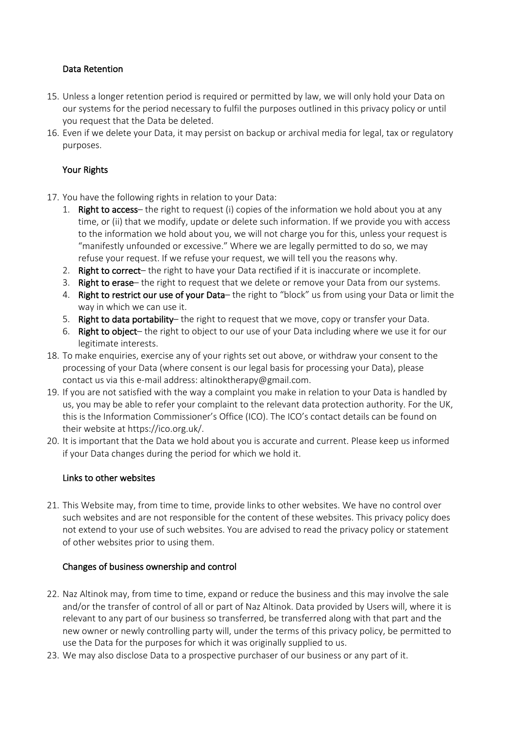# Data Retention

- 15. Unless a longer retention period is required or permitted by law, we will only hold your Data on our systems for the period necessary to fulfil the purposes outlined in this privacy policy or until you request that the Data be deleted.
- 16. Even if we delete your Data, it may persist on backup or archival media for legal, tax or regulatory purposes.

# Your Rights

- 17. You have the following rights in relation to your Data:
	- 1. Right to access– the right to request (i) copies of the information we hold about you at any time, or (ii) that we modify, update or delete such information. If we provide you with access to the information we hold about you, we will not charge you for this, unless your request is "manifestly unfounded or excessive." Where we are legally permitted to do so, we may refuse your request. If we refuse your request, we will tell you the reasons why.
	- 2. Right to correct- the right to have your Data rectified if it is inaccurate or incomplete.
	- 3. Right to erase– the right to request that we delete or remove your Data from our systems.
	- 4. Right to restrict our use of your Data– the right to "block" us from using your Data or limit the way in which we can use it.
	- 5. Right to data portability– the right to request that we move, copy or transfer your Data.
	- 6. Right to object– the right to object to our use of your Data including where we use it for our legitimate interests.
- 18. To make enquiries, exercise any of your rights set out above, or withdraw your consent to the processing of your Data (where consent is our legal basis for processing your Data), please contact us via this e-mail address: altinoktherapy@gmail.com.
- 19. If you are not satisfied with the way a complaint you make in relation to your Data is handled by us, you may be able to refer your complaint to the relevant data protection authority. For the UK, this is the Information Commissioner's Office (ICO). The ICO's contact details can be found on their website at https://ico.org.uk/.
- 20. It is important that the Data we hold about you is accurate and current. Please keep us informed if your Data changes during the period for which we hold it.

#### Links to other websites

21. This Website may, from time to time, provide links to other websites. We have no control over such websites and are not responsible for the content of these websites. This privacy policy does not extend to your use of such websites. You are advised to read the privacy policy or statement of other websites prior to using them.

#### Changes of business ownership and control

- 22. Naz Altinok may, from time to time, expand or reduce the business and this may involve the sale and/or the transfer of control of all or part of Naz Altinok. Data provided by Users will, where it is relevant to any part of our business so transferred, be transferred along with that part and the new owner or newly controlling party will, under the terms of this privacy policy, be permitted to use the Data for the purposes for which it was originally supplied to us.
- 23. We may also disclose Data to a prospective purchaser of our business or any part of it.